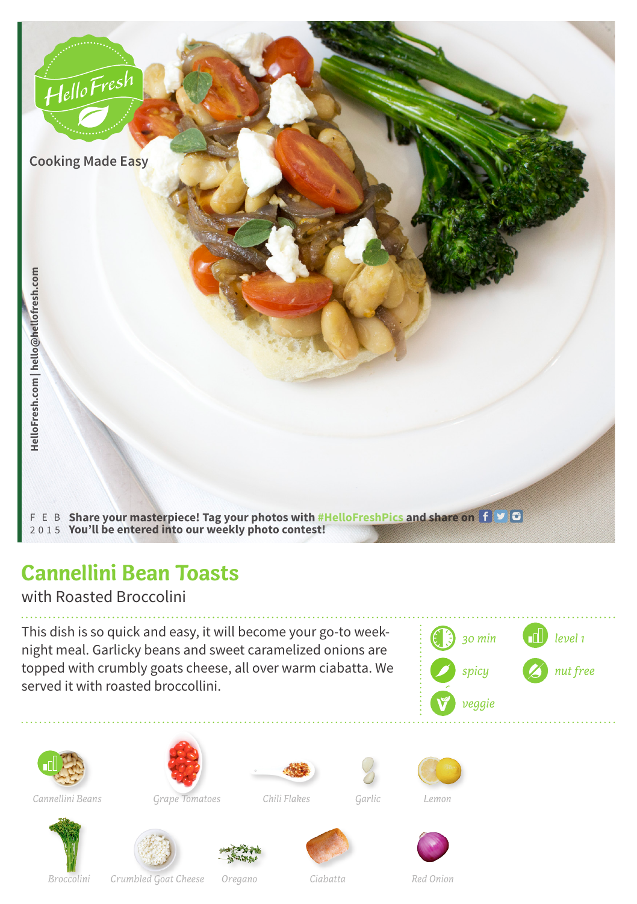

## **Cannellini Bean Toasts**

with Roasted Broccolini

This dish is so quick and easy, it will become your go-to weeknight meal. Garlicky beans and sweet caramelized onions are topped with crumbly goats cheese, all over warm ciabatta. We served it with roasted broccollini.















*Grape Tomatoes Cannellini Beans Garlic Lemon*

*Chili Flakes*

*Oregano*









*Crumbled Goat Cheese Ciabatta Broccolini Red Onion*